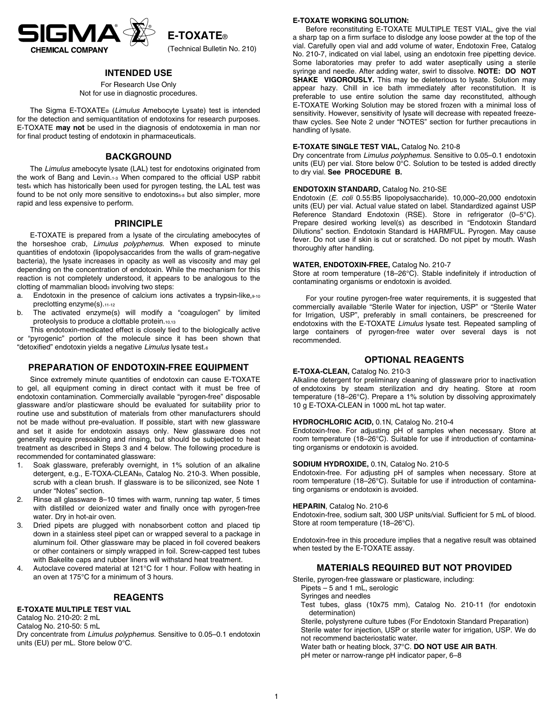

**E-TOXATE**®

(Technical Bulletin No. 210)

## **INTENDED USE**

For Research Use Only Not for use in diagnostic procedures.

The Sigma E-TOXATE® (*Limulus* Amebocyte Lysate) test is intended for the detection and semiquantitation of endotoxins for research purposes. E-TOXATE **may not** be used in the diagnosis of endotoxemia in man nor for final product testing of endotoxin in pharmaceuticals.

## **BACKGROUND**

The *Limulus* amebocyte lysate (LAL) test for endotoxins originated from the work of Bang and Levin.1-3 When compared to the official USP rabbit test4 which has historically been used for pyrogen testing, the LAL test was found to be not only more sensitive to endotoxins<sub>5-8</sub> but also simpler, more rapid and less expensive to perform.

## **PRINCIPLE**

E-TOXATE is prepared from a lysate of the circulating amebocytes of the horseshoe crab, *Limulus polyphemus*. When exposed to minute quantities of endotoxin (lipopolysaccarides from the walls of gram-negative bacteria), the lysate increases in opacity as well as viscosity and may gel depending on the concentration of endotoxin. While the mechanism for this reaction is not completely understood, it appears to be analogous to the  $cloting of mammalian blood<sub>3</sub> involving two steps:$ 

- a. Endotoxin in the presence of calcium ions activates a trypsin-like, $9-10$ preclotting enzyme(s).11-12
- b. The activated enzyme(s) will modify a "coagulogen" by limited proteolysis to produce a clottable protein.10,13

This endotoxin-medicated effect is closely tied to the biologically active or "pyrogenic" portion of the molecule since it has been shown that "detoxified" endotoxin yields a negative *Limulus* lysate test.6

## **PREPARATION OF ENDOTOXIN-FREE EQUIPMENT**

Since extremely minute quantities of endotoxin can cause E-TOXATE to gel, all equipment coming in direct contact with it must be free of endotoxin contamination. Commercially available "pyrogen-free" disposable glassware and/or plasticware should be evaluated for suitability prior to routine use and substitution of materials from other manufacturers should not be made without pre-evaluation. If possible, start with new glassware and set it aside for endotoxin assays only. New glassware does not generally require presoaking and rinsing, but should be subjected to heat treatment as described in Steps 3 and 4 below. The following procedure is recommended for contaminated glassware:

- 1. Soak glassware, preferably overnight, in 1% solution of an alkaline detergent, e.g., E-TOXA-CLEAN®, Catalog No. 210-3. When possible, scrub with a clean brush. If glassware is to be siliconized, see Note 1 under "Notes" section.
- 2. Rinse all glassware 8–10 times with warm, running tap water, 5 times with distilled or deionized water and finally once with pyrogen-free water. Dry in hot-air oven.
- 3. Dried pipets are plugged with nonabsorbent cotton and placed tip down in a stainless steel pipet can or wrapped several to a package in aluminum foil. Other glassware may be placed in foil covered beakers or other containers or simply wrapped in foil. Screw-capped test tubes with Bakelite caps and rubber liners will withstand heat treatment.
- 4. Autoclave covered material at 121°C for 1 hour. Follow with heating in an oven at 175°C for a minimum of 3 hours.

## **REAGENTS**

#### **E-TOXATE MULTIPLE TEST VIAL**

Catalog No. 210-20: 2 mL Catalog No. 210-50: 5 mL

Dry concentrate from *Limulus polyphemus*. Sensitive to 0.05–0.1 endotoxin units (EU) per mL. Store below 0°C.

## **E-TOXATE WORKING SOLUTION:**

Before reconstituting E-TOXATE MULTIPLE TEST VIAL, give the vial a sharp tap on a firm surface to dislodge any loose powder at the top of the vial. Carefully open vial and add volume of water, Endotoxin Free, Catalog No. 210-7, indicated on vial label, using an endotoxin free pipetting device. Some laboratories may prefer to add water aseptically using a sterile syringe and needle. After adding water, swirl to dissolve. **NOTE: DO NOT SHAKE VIGOROUSLY.** This may be deleterious to lysate. Solution may appear hazy. Chill in ice bath immediately after reconstitution. It is preferable to use entire solution the same day reconstituted, although E-TOXATE Working Solution may be stored frozen with a minimal loss of sensitivity. However, sensitivity of lysate will decrease with repeated freezethaw cycles. See Note 2 under "NOTES" section for further precautions in handling of lysate.

#### **E-TOXATE SINGLE TEST VIAL,** Catalog No. 210-8

Dry concentrate from *Limulus polyphemus*. Sensitive to 0.05–0.1 endotoxin units (EU) per vial. Store below 0°C. Solution to be tested is added directly to dry vial. **See PROCEDURE B.**

#### **ENDOTOXIN STANDARD,** Catalog No. 210-SE

Endotoxin (*E. coli* 0.55:B5 lipopolysaccharide). 10,000–20,000 endotoxin units (EU) per vial. Actual value stated on label. Standardized against USP Reference Standard Endotoxin (RSE). Store in refrigerator (0–5°C). Prepare desired working level(s) as described in "Endotoxin Standard Dilutions" section. Endotoxin Standard is HARMFUL. Pyrogen. May cause fever. Do not use if skin is cut or scratched. Do not pipet by mouth. Wash thoroughly after handling.

### **WATER, ENDOTOXIN-FREE,** Catalog No. 210-7

Store at room temperature (18–26°C). Stable indefinitely if introduction of contaminating organisms or endotoxin is avoided.

For your routine pyrogen-free water requirements, it is suggested that commercially available "Sterile Water for injection, USP" or "Sterile Water for Irrigation, USP", preferably in small containers, be prescreened for endotoxins with the E-TOXATE *Limulus* lysate test. Repeated sampling of large containers of pyrogen-free water over several days is not recommended.

## **OPTIONAL REAGENTS**

#### **E-TOXA-CLEAN,** Catalog No. 210-3

Alkaline detergent for preliminary cleaning of glassware prior to inactivation of endotoxins by steam sterilization and dry heating. Store at room temperature (18–26°C). Prepare a 1% solution by dissolving approximately 10 g E-TOXA-CLEAN in 1000 mL hot tap water.

## **HYDROCHLORIC ACID,** 0.1N, Catalog No. 210-4

Endotoxin-free. For adjusting pH of samples when necessary. Store at room temperature (18–26°C). Suitable for use if introduction of contaminating organisms or endotoxin is avoided.

#### **SODIUM HYDROXIDE,** 0.1N, Catalog No. 210-5

Endotoxin-free. For adjusting pH of samples when necessary. Store at room temperature (18–26°C). Suitable for use if introduction of contaminating organisms or endotoxin is avoided.

#### **HEPARIN**, Catalog No. 210-6

Endotoxin-free, sodium salt, 300 USP units/vial. Sufficient for 5 mL of blood. Store at room temperature (18–26°C).

Endotoxin-free in this procedure implies that a negative result was obtained when tested by the E-TOXATE assay.

## **MATERIALS REQUIRED BUT NOT PROVIDED**

Sterile, pyrogen-free glassware or plasticware, including: Pipets – 5 and 1 mL, serologic

- Syringes and needles
- Test tubes, glass (10x75 mm), Catalog No. 210-11 (for endotoxin determination)

Sterile, polystyrene culture tubes (For Endotoxin Standard Preparation) Sterile water for injection, USP or sterile water for irrigation, USP. We do not recommend bacteriostatic water. Water bath or heating block, 37°C. **DO NOT USE AIR BATH**.

pH meter or narrow-range pH indicator paper, 6–8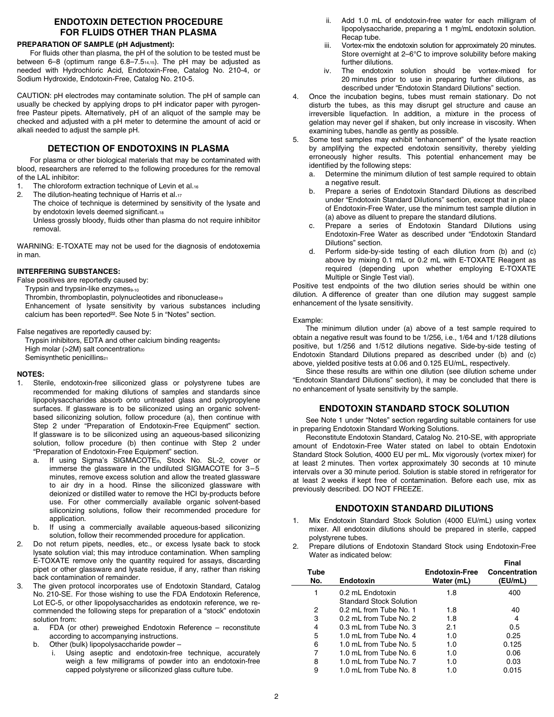# **ENDOTOXIN DETECTION PROCEDURE FOR FLUIDS OTHER THAN PLASMA**

## **PREPARATION OF SAMPLE (pH Adjustment):**

For fluids other than plasma, the pH of the solution to be tested must be between 6–8 (optimum range 6.8–7.514,15). The pH may be adjusted as needed with Hydrochloric Acid, Endotoxin-Free, Catalog No. 210-4, or Sodium Hydroxide, Endotoxin-Free, Catalog No. 210-5.

CAUTION: pH electrodes may contaminate solution. The pH of sample can usually be checked by applying drops to pH indicator paper with pyrogenfree Pasteur pipets. Alternatively, pH of an aliquot of the sample may be checked and adjusted with a pH meter to determine the amount of acid or alkali needed to adjust the sample pH.

# **DETECTION OF ENDOTOXINS IN PLASMA**

For plasma or other biological materials that may be contaminated with blood, researchers are referred to the following procedures for the removal of the LAL inhibitor:

- 1. The chloroform extraction technique of Levin et al.16<br>2. The dilution-heating technique of Harris et al.17
- The dilution-heating technique of Harris et al.17
	- The choice of technique is determined by sensitivity of the lysate and by endotoxin levels deemed significant.18

Unless grossly bloody, fluids other than plasma do not require inhibitor removal.

WARNING: E-TOXATE may not be used for the diagnosis of endotoxemia in man.

## **INTERFERING SUBSTANCES:**

False positives are reportedly caused by:

Trypsin and trypsin-like enzymes<sub>9-10</sub> Thrombin, thromboplastin, polynucleotides and ribonuclease<sub>19</sub> Enhancement of lysate sensitivity by various substances including calcium has been reported<sup>22</sup>. See Note 5 in "Notes" section.

False negatives are reportedly caused by:

Trypsin inhibitors, EDTA and other calcium binding reagents2 High molar (>2M) salt concentration<sub>20</sub> Semisynthetic penicillins<sub>21</sub>

### **NOTES:**

- 1. Sterile, endotoxin-free siliconized glass or polystyrene tubes are recommended for making dilutions of samples and standards since lipopolysaccharides absorb onto untreated glass and polypropylene surfaces. If glassware is to be siliconized using an organic solventbased siliconizing solution, follow procedure (a), then continue with Step 2 under "Preparation of Endotoxin-Free Equipment" section. If glassware is to be siliconized using an aqueous-based siliconizing solution, follow procedure (b) then continue with Step 2 under "Preparation of Endotoxin-Free Equipment" section.
	- a. If using Sigma's SIGMACOTE®, Stock No. SL-2, cover or immerse the glassware in the undiluted SIGMACOTE for 3–5 minutes, remove excess solution and allow the treated glassware to air dry in a hood. Rinse the siliconized glassware with deionized or distilled water to remove the HCI by-products before use. For other commercially available organic solvent-based siliconizing solutions, follow their recommended procedure for application.
	- b. If using a commercially available aqueous-based siliconizing solution, follow their recommended procedure for application.
- 2. Do not return pipets, needles, etc., or excess lysate back to stock lysate solution vial; this may introduce contamination. When sampling E-TOXATE remove only the quantity required for assays, discarding pipet or other glassware and lysate residue, if any, rather than risking back contamination of remainder.
- The given protocol incorporates use of Endotoxin Standard, Catalog No. 210-SE. For those wishing to use the FDA Endotoxin Reference, Lot EC-5, or other lipopolysaccharides as endotoxin reference, we recommended the following steps for preparation of a "stock" endotoxin solution from:
	- a. FDA (or other) preweighed Endotoxin Reference reconstitute according to accompanying instructions.
	- b. Other (bulk) lipopolysaccharide powder
		- i. Using aseptic and endotoxin-free technique, accurately weigh a few milligrams of powder into an endotoxin-free capped polystyrene or siliconized glass culture tube.
- ii. Add 1.0 mL of endotoxin-free water for each milligram of lipopolysaccharide, preparing a 1 mg/mL endotoxin solution. Recap tube.
- iii. Vortex-mix the endotoxin solution for approximately 20 minutes. Store overnight at 2–6°C to improve solubility before making further dilutions.
- iv. The endotoxin solution should be vortex-mixed for 20 minutes prior to use in preparing further dilutions, as described under "Endotoxin Standard Dilutions" section.
- 4. Once the incubation begins, tubes must remain stationary. Do not disturb the tubes, as this may disrupt gel structure and cause an irreversible liquefaction. In addition, a mixture in the process of gelation may never gel if shaken, but only increase in viscosity. When examining tubes, handle as gently as possible.
- 5. Some test samples may exhibit "enhancement" of the lysate reaction by amplifying the expected endotoxin sensitivity, thereby yielding erroneously higher results. This potential enhancement may be identified by the following steps:
	- Determine the minimum dilution of test sample required to obtain a negative result.
	- b. Prepare a series of Endotoxin Standard Dilutions as described under "Endotoxin Standard Dilutions" section, except that in place of Endotoxin-Free Water, use the minimum test sample dilution in (a) above as diluent to prepare the standard dilutions.
	- c. Prepare a series of Endotoxin Standard Dilutions using Endotoxin-Free Water as described under "Endotoxin Standard Dilutions" section.
	- d. Perform side-by-side testing of each dilution from (b) and (c) above by mixing 0.1 mL or 0.2 mL with E-TOXATE Reagent as required (depending upon whether employing E-TOXATE Multiple or Single Test vial).

Positive test endpoints of the two dilution series should be within one dilution. A difference of greater than one dilution may suggest sample enhancement of the lysate sensitivity.

#### Example:

The minimum dilution under (a) above of a test sample required to obtain a negative result was found to be 1/256, i.e., 1/64 and 1/128 dilutions positive, but 1/256 and 1/512 dilutions negative. Side-by-side testing of Endotoxin Standard Dilutions prepared as described under (b) and (c) above, yielded positive tests at 0.06 and 0.125 EU/mL, respectively.

Since these results are within one dilution (see dilution scheme under "Endotoxin Standard Dilutions" section), it may be concluded that there is no enhancement of lysate sensitivity by the sample.

## **ENDOTOXIN STANDARD STOCK SOLUTION**

See Note 1 under "Notes" section regarding suitable containers for use in preparing Endotoxin Standard Working Solutions.

Reconstitute Endotoxin Standard, Catalog No. 210-SE, with appropriate amount of Endotoxin-Free Water stated on label to obtain Endotoxin Standard Stock Solution, 4000 EU per mL. Mix vigorously (vortex mixer) for at least 2 minutes. Then vortex approximately 30 seconds at 10 minute intervals over a 30 minute period. Solution is stable stored in refrigerator for at least 2 weeks if kept free of contamination. Before each use, mix as previously described. DO NOT FREEZE.

## **ENDOTOXIN STANDARD DILUTIONS**

- 1. Mix Endotoxin Standard Stock Solution (4000 EU/mL) using vortex mixer. All endotoxin dilutions should be prepared in sterile, capped polystyrene tubes.
- 2. Prepare dilutions of Endotoxin Standard Stock using Endotoxin-Free Water as indicated below: **Final**

| Tube<br>No. | Endotoxin                      | <b>Endotoxin-Free</b><br>Water (mL) | Final<br>Concentration<br>(EU/mL) |
|-------------|--------------------------------|-------------------------------------|-----------------------------------|
| 1           | 0.2 mL Endotoxin               | 1.8                                 | 400                               |
|             | <b>Standard Stock Solution</b> |                                     |                                   |
| 2           | 0.2 mL from Tube No. 1         | 1.8                                 | 40                                |
| 3           | 0.2 mL from Tube No. 2         | 1.8                                 | 4                                 |
| 4           | 0.3 mL from Tube No. 3         | 2.1                                 | 0.5                               |
| 5           | 1.0 mL from Tube No. 4         | 1.0                                 | 0.25                              |
| 6           | 1.0 mL from Tube No. 5         | 1.0                                 | 0.125                             |
| 7           | 1.0 mL from Tube No. 6         | 1.0                                 | 0.06                              |
| 8           | 1.0 mL from Tube No. 7         | 1.0                                 | 0.03                              |
| 9           | 1.0 mL from Tube No. 8         | 1.0                                 | 0.015                             |
|             |                                |                                     |                                   |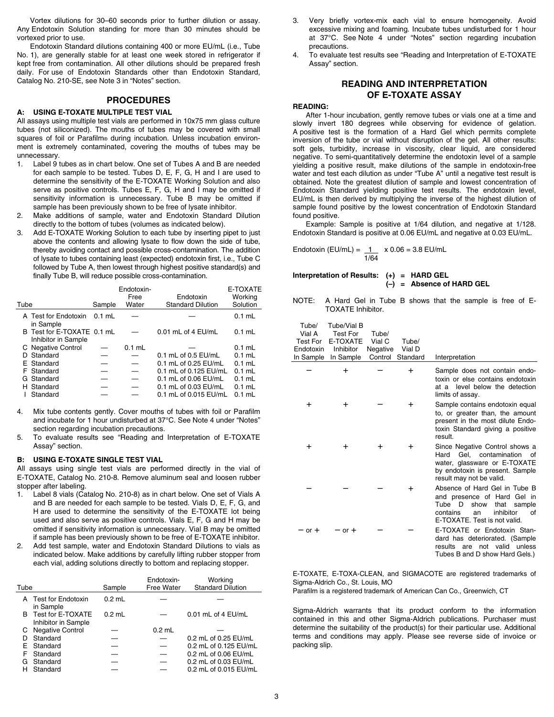Vortex dilutions for 30–60 seconds prior to further dilution or assay. Any Endotoxin Solution standing for more than 30 minutes should be vortexed prior to use.

Endotoxin Standard dilutions containing 400 or more EU/mL (i.e., Tube No. 1), are generally stable for at least one week stored in refrigerator if kept free from contamination. All other dilutions should be prepared fresh daily. For use of Endotoxin Standards other than Endotoxin Standard, Catalog No. 210-SE, see Note 3 in "Notes" section.

## **PROCEDURES**

#### **A: USING E-TOXATE MULTIPLE TEST VIAL**

All assays using multiple test vials are performed in 10x75 mm glass culture tubes (not siliconized). The mouths of tubes may be covered with small squares of foil or Parafilm® during incubation. Unless incubation environment is extremely contaminated, covering the mouths of tubes may be unnecessary.

- 1. Label 9 tubes as in chart below. One set of Tubes A and B are needed for each sample to be tested. Tubes D, E, F, G, H and I are used to determine the sensitivity of the E-TOXATE Working Solution and also serve as positive controls. Tubes E, F, G, H and I may be omitted if sensitivity information is unnecessary. Tube B may be omitted if sample has been previously shown to be free of lysate inhibitor.
- 2. Make additions of sample, water and Endotoxin Standard Dilution directly to the bottom of tubes (volumes as indicated below).
- 3. Add E-TOXATE Working Solution to each tube by inserting pipet to just above the contents and allowing lysate to flow down the side of tube, thereby avoiding contact and possible cross-contamination. The addition of lysate to tubes containing least (expected) endotoxin first, i.e., Tube C followed by Tube A, then lowest through highest positive standard(s) and finally Tube B, will reduce possible cross-contamination.

| Tube |                                                   | Sample   | Endotoxin-<br>Free<br>Water | Endotoxin<br><b>Standard Dilution</b> | E-TOXATE<br>Working<br>Solution |
|------|---------------------------------------------------|----------|-----------------------------|---------------------------------------|---------------------------------|
|      | A Test for Endotoxin<br>in Sample                 | $0.1$ mL |                             |                                       | $0.1$ mL                        |
|      | B Test for E-TOXATE 0.1 mL<br>Inhibitor in Sample |          |                             | $0.01$ mL of 4 EU/mL                  | $0.1$ mL                        |
|      | C Negative Control                                |          | $0.1$ mL                    |                                       | $0.1$ mL                        |
|      | D Standard                                        |          |                             | 0.1 mL of 0.5 EU/mL                   | $0.1$ mL                        |
|      | E Standard                                        |          |                             | 0.1 mL of 0.25 EU/mL                  | $0.1$ mL                        |
|      | F Standard                                        |          |                             | 0.1 mL of 0.125 EU/mL                 | $0.1$ mL                        |
|      | G Standard                                        |          |                             | 0.1 mL of 0.06 EU/mL                  | $0.1$ mL                        |
|      | H Standard                                        |          |                             | 0.1 mL of 0.03 EU/mL                  | $0.1$ mL                        |
|      | Standard                                          |          |                             | 0.1 mL of 0.015 EU/mL                 | $0.1$ mL                        |

- 4. Mix tube contents gently. Cover mouths of tubes with foil or Parafilm and incubate for 1 hour undisturbed at 37°C. See Note 4 under "Notes" section regarding incubation precautions.
- 5. To evaluate results see "Reading and Interpretation of E-TOXATE Assay" section.

#### **B: USING E-TOXATE SINGLE TEST VIAL**

All assays using single test vials are performed directly in the vial of E-TOXATE, Catalog No. 210-8. Remove aluminum seal and loosen rubber stopper after labeling.

- Label 8 vials (Catalog No. 210-8) as in chart below. One set of Vials A and B are needed for each sample to be tested. Vials D, E, F, G, and H are used to determine the sensitivity of the E-TOXATE lot being used and also serve as positive controls. Vials E, F, G and H may be omitted if sensitivity information is unnecessary. Vial B may be omitted if sample has been previously shown to be free of E-TOXATE inhibitor.
- 2. Add test sample, water and Endotoxin Standard Dilutions to vials as indicated below. Make additions by carefully lifting rubber stopper from each vial, adding solutions directly to bottom and replacing stopper.

| Tube |                                            | Sample   | Endotoxin-<br><b>Free Water</b> | Working<br><b>Standard Dilution</b> |
|------|--------------------------------------------|----------|---------------------------------|-------------------------------------|
|      | A Test for Endotoxin<br>in Sample          | $0.2$ mL |                                 |                                     |
|      | B Test for E-TOXATE<br>Inhibitor in Sample | $0.2$ mL |                                 | 0.01 mL of 4 EU/mL                  |
|      | C Negative Control                         |          | $0.2$ mL                        |                                     |
|      | Standard                                   |          |                                 | 0.2 mL of 0.25 EU/mL                |
|      | E Standard                                 |          |                                 | 0.2 mL of 0.125 EU/mL               |
| F    | Standard                                   |          |                                 | 0.2 mL of 0.06 EU/mL                |
| G    | Standard                                   |          |                                 | 0.2 mL of 0.03 EU/mL                |
|      | Standard                                   |          |                                 | 0.2 mL of 0.015 EU/mL               |

- 3. Very briefly vortex-mix each vial to ensure homogeneity. Avoid excessive mixing and foaming. Incubate tubes undisturbed for 1 hour at 37°C. See Note 4 under "Notes" section regarding incubation precautions.
- 4. To evaluate test results see "Reading and Interpretation of E-TOXATE Assay" section.

## **READING AND INTERPRETATION OF E-TOXATE ASSAY**

#### **READING:**

After 1-hour incubation, gently remove tubes or vials one at a time and slowly invert 180 degrees while observing for evidence of gelation. A positive test is the formation of a Hard Gel which permits complete inversion of the tube or vial without disruption of the gel. All other results: soft gels, turbidity, increase in viscosity, clear liquid, are considered negative. To semi-quantitatively determine the endotoxin level of a sample yielding a positive result, make dilutions of the sample in endotoxin-free water and test each dilution as under "Tube A" until a negative test result is obtained. Note the greatest dilution of sample and lowest concentration of Endotoxin Standard yielding positive test results. The endotoxin level, EU/mL is then derived by multiplying the inverse of the highest dilution of sample found positive by the lowest concentration of Endotoxin Standard found positive.

Example: Sample is positive at 1/64 dilution, and negative at 1/128. Endotoxin Standard is positive at 0.06 EU/mL and negative at 0.03 EU/mL.

Endotoxin (EU/mL) =  $1 / x 0.06 = 3.8$  EU/mL 1/64

## **Interpretation of Results: (+) = HARD GEL (–) = Absence of HARD GEL**

NOTE: A Hard Gel in Tube B shows that the sample is free of E-TOXATE Inhibitor.

| Tube/<br>Vial A<br><b>Test For</b><br>Endotoxin<br>In Sample | Tube/Vial B<br><b>Test For</b><br>E-TOXATE<br>Inhibitor<br>In Sample | Tube/<br>Vial C<br>Negative<br>Control | Tube/<br>Vial D<br>Standard | Interpretation                                                                                                                                                           |
|--------------------------------------------------------------|----------------------------------------------------------------------|----------------------------------------|-----------------------------|--------------------------------------------------------------------------------------------------------------------------------------------------------------------------|
|                                                              | $\pm$                                                                |                                        | $\ddot{}$                   | Sample does not contain endo-                                                                                                                                            |
|                                                              |                                                                      |                                        |                             | toxin or else contains endotoxin<br>level below the detection<br>at a<br>limits of assay.                                                                                |
| +                                                            | $\pm$                                                                |                                        | $\pm$                       | Sample contains endotoxin equal<br>to, or greater than, the amount<br>present in the most dilute Endo-<br>toxin Standard giving a positive<br>result.                    |
| $\pm$                                                        | $\pm$                                                                | $\pm$                                  | $\pm$                       | Since Negative Control shows a<br>contamination<br>Gel.<br>Hard<br>of<br>water, glassware or E-TOXATE<br>by endotoxin is present. Sample<br>result may not be valid.     |
|                                                              |                                                                      |                                        | +                           | Absence of Hard Gel in Tube B<br>and presence of Hard Gel in<br>Tube<br>D<br>show<br>that<br>sample<br>inhibitor<br>contains<br>οf<br>an<br>E-TOXATE. Test is not valid. |
| $or +$                                                       | $or +$                                                               |                                        |                             | E-TOXATE or Endotoxin Stan-<br>dard has deteriorated. (Sample<br>results<br>are not valid unless<br>Tubes B and D show Hard Gels.)                                       |

E-TOXATE, E-TOXA-CLEAN, and SIGMACOTE are registered trademarks of Sigma-Aldrich Co., St. Louis, MO

Parafilm is a registered trademark of American Can Co., Greenwich, CT

Sigma-Aldrich warrants that its product conform to the information contained in this and other Sigma-Aldrich publications. Purchaser must determine the suitability of the product(s) for their particular use. Additional terms and conditions may apply. Please see reverse side of invoice or packing slip.